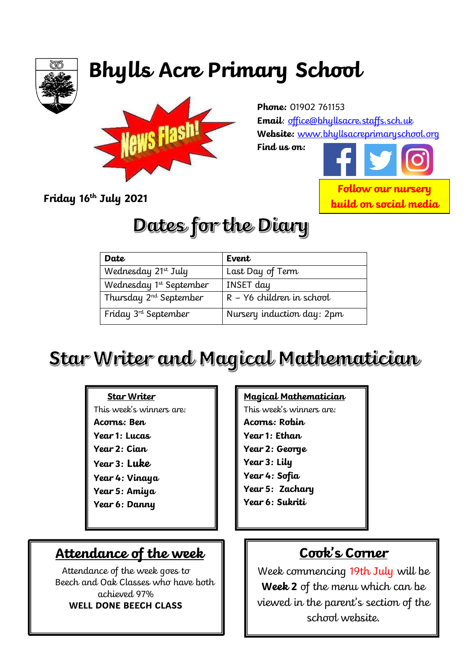

# **Bhylls Acre Primary School**



**Phone:** 01902 761153 **Email**: [office@bhyllsacre.staffs.sch.uk](mailto:office@bhyllsacre.staffs.sch.uk) **Website:** [www.bhyllsacreprimaryschool.org](http://www.bhyllsacreprimaryschool.org/)

**Find us on:** 



**Friday 16th July 2021**

## **Dates for the Diary**

| Date                               | Event                       |
|------------------------------------|-----------------------------|
| Wednesday 21st July                | Last Day of Term            |
| Wednesday 1st September            | <b>INSET</b> day            |
| Thursday 2 <sup>nd</sup> September | $R - Y6$ children in school |
| Friday $3rd$ September             | Nursery induction day: 2pm  |

## Star Writer and Magical Mathematician

#### **Star Writer**

This week's winners are: **Acorns: Ben Year 1: Lucas Year 2: Cian Year 3: Luke Year 4: Vinaya Year 5: Amiya Year 6: Danny**

## **Attendance of the week**

Attendance of the week goes to Beech and Oak Classes who have both achieved 97% **WELL DONE BEECH CLASS**

#### **Magical Mathematician**

This week's winners are: **Acorns: Robin Year 1: Ethan Year 2: George Year 3: Lily Year 4: Sofia Year 5: Zachary Year 6: Sukriti**

## **Cook's Corner**

Week commencing 19th July will be **Week 2** of the menu which can be viewed in the parent's section of the school website.